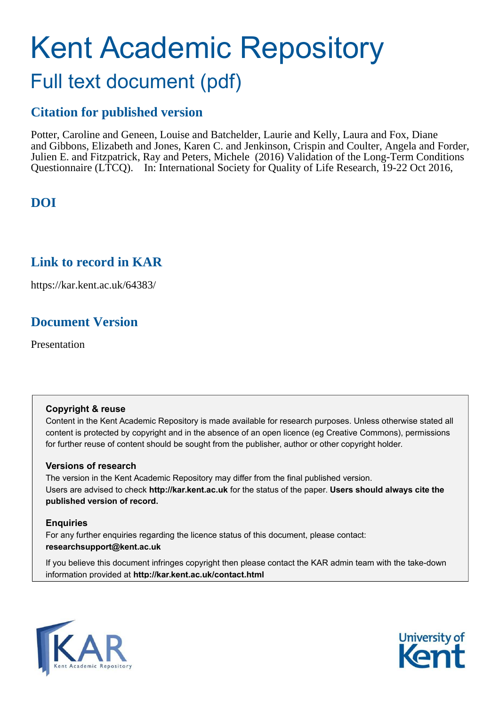### Kent Academic Repository Full text document (pdf)

### **Citation for published version**

Potter, Caroline and Geneen, Louise and Batchelder, Laurie and Kelly, Laura and Fox, Diane and Gibbons, Elizabeth and Jones, Karen C. and Jenkinson, Crispin and Coulter, Angela and Forder, Julien E. and Fitzpatrick, Ray and Peters, Michele (2016) Validation of the Long-Term Conditions Questionnaire (LTCQ). In: International Society for Quality of Life Research, 19-22 Oct 2016,

### **DOI**

#### **Link to record in KAR**

https://kar.kent.ac.uk/64383/

### **Document Version**

Presentation

#### **Copyright & reuse**

Content in the Kent Academic Repository is made available for research purposes. Unless otherwise stated all content is protected by copyright and in the absence of an open licence (eg Creative Commons), permissions for further reuse of content should be sought from the publisher, author or other copyright holder.

#### **Versions of research**

The version in the Kent Academic Repository may differ from the final published version. Users are advised to check **http://kar.kent.ac.uk** for the status of the paper. **Users should always cite the published version of record.**

#### **Enquiries**

For any further enquiries regarding the licence status of this document, please contact: **researchsupport@kent.ac.uk**

If you believe this document infringes copyright then please contact the KAR admin team with the take-down information provided at **http://kar.kent.ac.uk/contact.html**